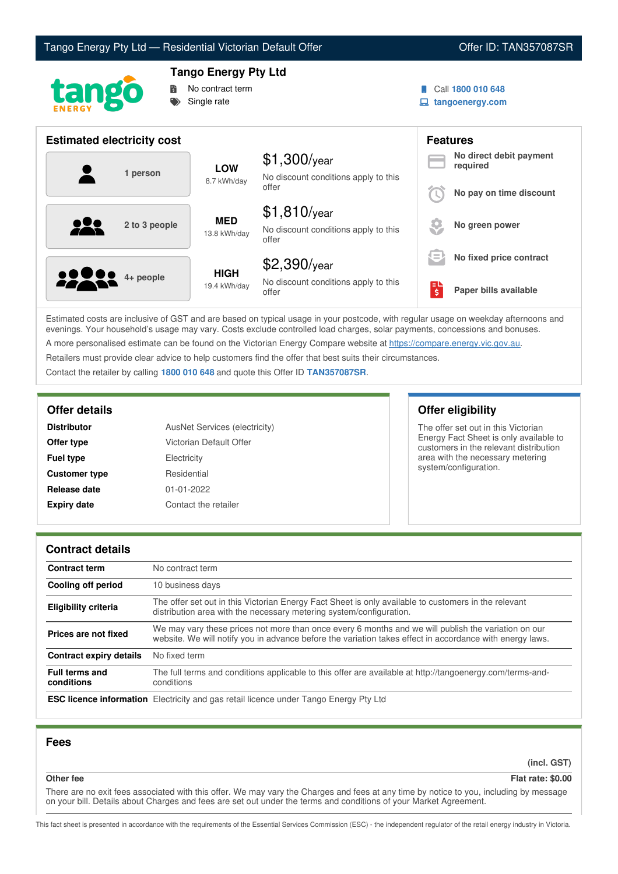



## **Tango Energy Pty Ltd**



Call **1800 010 648**

**tangoenergy.com**

| <b>Estimated electricity cost</b> |                             |                                                                 | <b>Features</b>         |                                     |
|-----------------------------------|-----------------------------|-----------------------------------------------------------------|-------------------------|-------------------------------------|
| 1 person                          | <b>LOW</b><br>8.7 kWh/day   | $$1,300$ /year<br>No discount conditions apply to this          |                         | No direct debit payment<br>required |
|                                   |                             | offer                                                           |                         | No pay on time discount             |
| 2 to 3 people                     | <b>MED</b><br>13.8 kWh/day  | $$1,810$ /year<br>No discount conditions apply to this<br>offer |                         | No green power                      |
|                                   |                             | $$2,390$ /year                                                  | s=                      | No fixed price contract             |
| <b>2000</b> 4+ people             | <b>HIGH</b><br>19.4 kWh/day | No discount conditions apply to this<br>offer                   | $\overline{\mathsf{S}}$ | Paper bills available               |

Estimated costs are inclusive of GST and are based on typical usage in your postcode, with regular usage on weekday afternoons and evenings. Your household's usage may vary. Costs exclude controlled load charges, solar payments, concessions and bonuses. A more personalised estimate can be found on the Victorian Energy Compare website at <https://compare.energy.vic.gov.au>.

Retailers must provide clear advice to help customers find the offer that best suits their circumstances.

Contact the retailer by calling **1800 010 648** and quote this Offer ID **TAN357087SR**.

| <b>Distributor</b>   | AusNet Services (electricity) |
|----------------------|-------------------------------|
| Offer type           | Victorian Default Offer       |
| <b>Fuel type</b>     | Electricity                   |
| <b>Customer type</b> | Residential                   |
| Release date         | $01 - 01 - 2022$              |
| <b>Expiry date</b>   | Contact the retailer          |

## **Offer details Offer eligibility**

The offer set out in this Victorian Energy Fact Sheet is only available to customers in the relevant distribution area with the necessary metering system/configuration.

### **Contract details**

| <b>Contract term</b>                | No contract term                                                                                                                                                                                                |  |
|-------------------------------------|-----------------------------------------------------------------------------------------------------------------------------------------------------------------------------------------------------------------|--|
| Cooling off period                  | 10 business days                                                                                                                                                                                                |  |
| <b>Eligibility criteria</b>         | The offer set out in this Victorian Energy Fact Sheet is only available to customers in the relevant<br>distribution area with the necessary metering system/configuration.                                     |  |
| Prices are not fixed                | We may vary these prices not more than once every 6 months and we will publish the variation on our<br>website. We will notify you in advance before the variation takes effect in accordance with energy laws. |  |
| <b>Contract expiry details</b>      | No fixed term                                                                                                                                                                                                   |  |
| <b>Full terms and</b><br>conditions | The full terms and conditions applicable to this offer are available at http://tangoenergy.com/terms-and-<br>conditions                                                                                         |  |
|                                     | <b>ESC licence information</b> Electricity and gas retail licence under Tango Energy Pty Ltd                                                                                                                    |  |

### **Fees**

**(incl. GST)**

**Other fee Flat rate: \$0.00**

There are no exit fees associated with this offer. We may vary the Charges and fees at any time by notice to you, including by message on your bill. Details about Charges and fees are set out under the terms and conditions of your Market Agreement.

This fact sheet is presented in accordance with the requirements of the Essential Services Commission (ESC) - the independent regulator of the retail energy industry in Victoria.